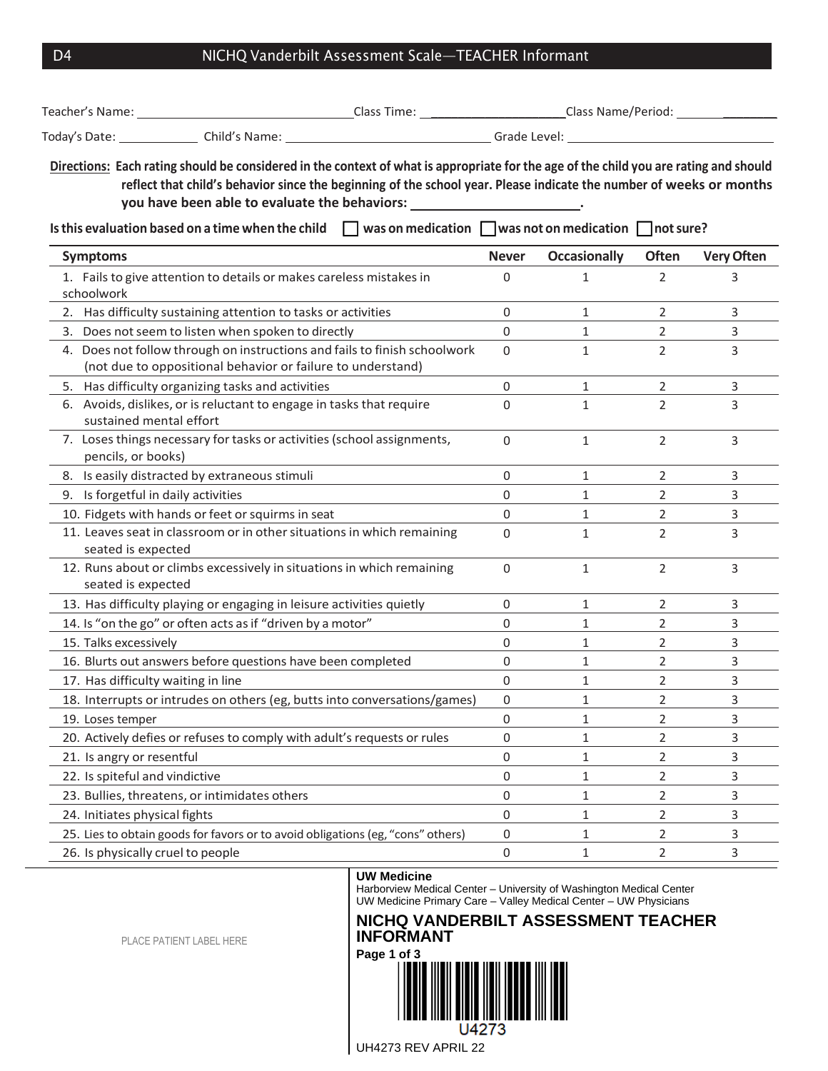## D4 NICHQ Vanderbilt Assessment Scale-TEACHER Informant

|                       | Directions: Each rating should be considered in the context of what is appropriate for the age of the child you are rating and should<br>reflect that child's behavior since the beginning of the school year. Please indicate the number of weeks or months<br>you have been able to evaluate the behaviors: | the contract of the contract of the contract of |                     |                       |                   |
|-----------------------|---------------------------------------------------------------------------------------------------------------------------------------------------------------------------------------------------------------------------------------------------------------------------------------------------------------|-------------------------------------------------|---------------------|-----------------------|-------------------|
|                       | $\Box$ was on medication $\Box$ was not on medication $\Box$ not sure?<br>Is this evaluation based on a time when the child                                                                                                                                                                                   |                                                 |                     |                       |                   |
| <b>Symptoms</b>       |                                                                                                                                                                                                                                                                                                               | <b>Never</b>                                    | <b>Occasionally</b> | <b>Often</b>          | <b>Very Often</b> |
| schoolwork            | 1. Fails to give attention to details or makes careless mistakes in                                                                                                                                                                                                                                           | 0                                               | $\mathbf{1}$        | 2                     | 3                 |
|                       | 2. Has difficulty sustaining attention to tasks or activities                                                                                                                                                                                                                                                 | 0                                               | 1                   | $\overline{2}$        | 3                 |
|                       | 3. Does not seem to listen when spoken to directly                                                                                                                                                                                                                                                            | 0                                               | 1                   | 2                     | 3                 |
|                       | 4. Does not follow through on instructions and fails to finish schoolwork<br>(not due to oppositional behavior or failure to understand)                                                                                                                                                                      | $\Omega$                                        | $\mathbf{1}$        | $\overline{2}$        | 3                 |
|                       | 5. Has difficulty organizing tasks and activities                                                                                                                                                                                                                                                             | 0                                               | $\mathbf{1}$        | $\overline{2}$        | 3                 |
|                       | 6. Avoids, dislikes, or is reluctant to engage in tasks that require<br>sustained mental effort                                                                                                                                                                                                               | 0                                               | 1                   | 2                     | 3                 |
|                       | 7. Loses things necessary for tasks or activities (school assignments,<br>pencils, or books)                                                                                                                                                                                                                  | 0                                               | $\mathbf{1}$        | $\overline{2}$        | 3                 |
|                       | 8. Is easily distracted by extraneous stimuli                                                                                                                                                                                                                                                                 | 0                                               | $\mathbf{1}$        | 2                     | 3                 |
|                       | 9. Is forgetful in daily activities                                                                                                                                                                                                                                                                           | 0                                               | 1                   | $\mathbf{2}^{\prime}$ | 3                 |
|                       | 10. Fidgets with hands or feet or squirms in seat                                                                                                                                                                                                                                                             | 0                                               | 1                   | 2                     | 3                 |
|                       | 11. Leaves seat in classroom or in other situations in which remaining<br>seated is expected                                                                                                                                                                                                                  | 0                                               | $\mathbf{1}$        | 2                     | 3                 |
|                       | 12. Runs about or climbs excessively in situations in which remaining<br>seated is expected                                                                                                                                                                                                                   | 0                                               | $\mathbf{1}$        | $\overline{2}$        | 3                 |
|                       | 13. Has difficulty playing or engaging in leisure activities quietly                                                                                                                                                                                                                                          | 0                                               | 1                   | 2                     | 3                 |
|                       | 14. Is "on the go" or often acts as if "driven by a motor"                                                                                                                                                                                                                                                    | 0                                               | 1                   | 2                     | 3                 |
| 15. Talks excessively |                                                                                                                                                                                                                                                                                                               | 0                                               | 1                   | 2                     | 3                 |
|                       | 16. Blurts out answers before questions have been completed                                                                                                                                                                                                                                                   | 0                                               | 1                   | 2                     | 3                 |
|                       | 17. Has difficulty waiting in line                                                                                                                                                                                                                                                                            | 0                                               | 1                   | 2                     | 3                 |
|                       | 18. Interrupts or intrudes on others (eg, butts into conversations/games)                                                                                                                                                                                                                                     | 0                                               | 1                   | 2                     | 3                 |
| 19. Loses temper      |                                                                                                                                                                                                                                                                                                               | 0                                               | 1                   | 2                     | 3                 |
|                       | 20. Actively defies or refuses to comply with adult's requests or rules                                                                                                                                                                                                                                       | 0                                               | 1                   | 2                     | 3                 |
|                       | 21. Is angry or resentful                                                                                                                                                                                                                                                                                     | 0                                               | 1                   | 2                     | 3                 |
|                       | 22. Is spiteful and vindictive                                                                                                                                                                                                                                                                                | 0                                               | 1                   | 2                     | 3                 |
|                       | 23. Bullies, threatens, or intimidates others                                                                                                                                                                                                                                                                 | 0                                               | 1                   | 2                     | 3                 |
|                       | 24. Initiates physical fights                                                                                                                                                                                                                                                                                 | 0                                               | 1                   | 2                     | 3                 |
|                       | 25. Lies to obtain goods for favors or to avoid obligations (eg, "cons" others)                                                                                                                                                                                                                               | 0                                               | 1                   | 2                     | 3                 |
|                       | 26. Is physically cruel to people                                                                                                                                                                                                                                                                             | 0                                               | 1                   | 2                     | 3                 |

## **UW Medicine**

Harborview Medical Center – University of Washington Medical Center UW Medicine Primary Care – Valley Medical Center – UW Physicians

## **NICHQ VANDERBILT ASSESSMENT TEACHER INFORMANT**

**Page 1 of 3** U4273

PLACE PATIENT LABEL HERE

UH4273 REV APRIL 22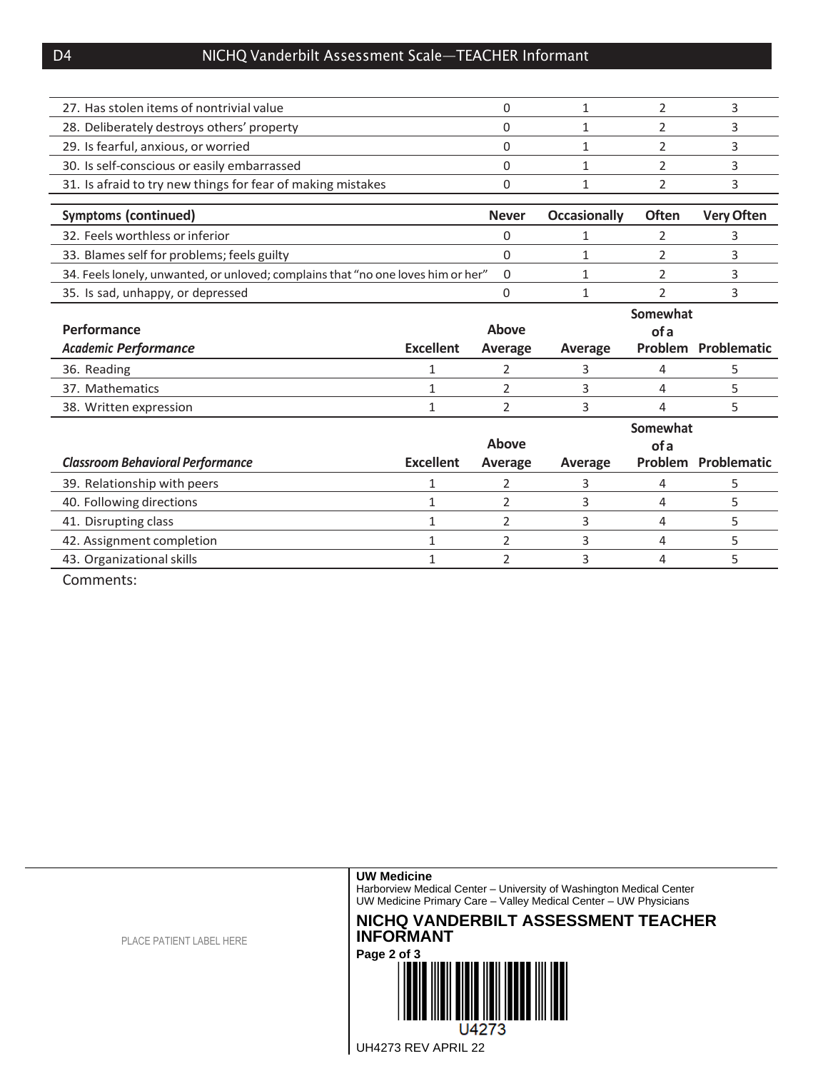| 27. Has stolen items of nontrivial value                                         |                  | 0            | $\mathbf{1}$        | 2              | 3                          |
|----------------------------------------------------------------------------------|------------------|--------------|---------------------|----------------|----------------------------|
| 28. Deliberately destroys others' property                                       |                  | 0            | 1                   | 2              | 3                          |
| 29. Is fearful, anxious, or worried                                              |                  | 0            | 1                   | 2              | 3                          |
| 30. Is self-conscious or easily embarrassed                                      |                  | 0            | 1                   | 2              | 3                          |
| 31. Is afraid to try new things for fear of making mistakes                      |                  | 0            | 1                   | $\overline{2}$ | 3                          |
|                                                                                  |                  |              |                     |                |                            |
| <b>Symptoms (continued)</b>                                                      |                  | <b>Never</b> | <b>Occasionally</b> | <b>Often</b>   | <b>Very Often</b>          |
| 32. Feels worthless or inferior                                                  |                  | 0            | 1                   | 2              | 3                          |
| 33. Blames self for problems; feels guilty                                       |                  | 0            | 1                   | 2              | 3                          |
| 34. Feels lonely, unwanted, or unloved; complains that "no one loves him or her" |                  | 0            | 1                   | 2              | 3                          |
| 35. Is sad, unhappy, or depressed                                                |                  | 0            | 1                   | $\overline{2}$ | 3                          |
|                                                                                  |                  |              |                     | Somewhat       |                            |
|                                                                                  |                  |              |                     |                |                            |
| Performance                                                                      |                  | Above        |                     | of a           |                            |
| <b>Academic Performance</b>                                                      | <b>Excellent</b> | Average      | Average             |                | <b>Problem Problematic</b> |
| 36. Reading                                                                      | 1                | 2            | 3                   | 4              | 5                          |
| 37. Mathematics                                                                  | 1                | 2            | 3                   | 4              | 5                          |
| 38. Written expression                                                           | 1                | 2            | 3                   | 4              | 5                          |
|                                                                                  |                  |              |                     | Somewhat       |                            |
|                                                                                  |                  | Above        |                     | of a           |                            |
| <b>Classroom Behavioral Performance</b>                                          | <b>Excellent</b> | Average      | Average             |                | Problem Problematic        |
| 39. Relationship with peers                                                      | 1                | 2            | 3                   | 4              | 5                          |
| 40. Following directions                                                         | 1                | 2            | 3                   | 4              | 5                          |
| 41. Disrupting class                                                             | 1                | 2            | 3                   | 4              | 5                          |
| 42. Assignment completion                                                        | 1                | 2            | 3                   | 4              | 5                          |

Comments: